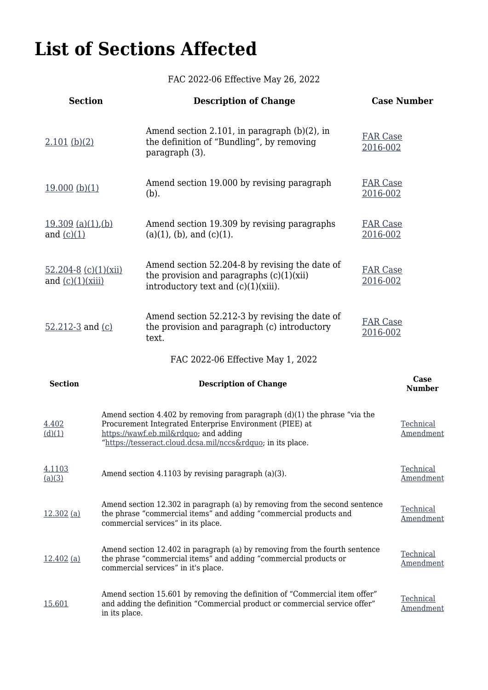## **List of Sections Affected**

FAC 2022-06 Effective May 26, 2022

| <b>Section</b>                                 |                                                                                                                                                                                                                                    | <b>Description of Change</b>                                                                                                                  |                             | <b>Case Number</b>     |
|------------------------------------------------|------------------------------------------------------------------------------------------------------------------------------------------------------------------------------------------------------------------------------------|-----------------------------------------------------------------------------------------------------------------------------------------------|-----------------------------|------------------------|
| $2.101$ (b)(2)                                 |                                                                                                                                                                                                                                    | Amend section 2.101, in paragraph $(b)(2)$ , in<br><b>FAR Case</b><br>the definition of "Bundling", by removing<br>2016-002<br>paragraph (3). |                             |                        |
| 19.000(b)(1)                                   |                                                                                                                                                                                                                                    | Amend section 19.000 by revising paragraph<br>(b).                                                                                            | <b>FAR Case</b><br>2016-002 |                        |
| $19.309$ (a)(1),(b)<br>and $(c)(1)$            |                                                                                                                                                                                                                                    | Amend section 19.309 by revising paragraphs<br>$(a)(1)$ , (b), and $(c)(1)$ .                                                                 | <b>FAR Case</b><br>2016-002 |                        |
| $52.204 - 8$ (c)(1)(xii)<br>and $(c)(1)(xiii)$ |                                                                                                                                                                                                                                    | Amend section 52.204-8 by revising the date of<br>the provision and paragraphs $(c)(1)(xii)$<br>introductory text and (c)(1)(xiii).           | <b>FAR Case</b><br>2016-002 |                        |
| 52.212-3 and $(c)$                             |                                                                                                                                                                                                                                    | Amend section 52.212-3 by revising the date of<br>the provision and paragraph (c) introductory<br>text.                                       | <b>FAR Case</b><br>2016-002 |                        |
|                                                |                                                                                                                                                                                                                                    | FAC 2022-06 Effective May 1, 2022                                                                                                             |                             |                        |
| <b>Section</b>                                 |                                                                                                                                                                                                                                    | <b>Description of Change</b>                                                                                                                  |                             | Case<br><b>Number</b>  |
| 4.402<br>(d)(1)                                | Amend section 4.402 by removing from paragraph $(d)(1)$ the phrase "via the<br>Procurement Integrated Enterprise Environment (PIEE) at<br>https://wawf.eb.mil" and adding<br>"https://tesseract.cloud.dcsa.mil/nccs" in its place. |                                                                                                                                               |                             | Technical<br>Amendment |
| 4.1103<br>(a)(3)                               | Amend section 4.1103 by revising paragraph (a)(3).                                                                                                                                                                                 |                                                                                                                                               |                             | Technical<br>Amendment |
| $12.302$ (a)                                   | Amend section 12.302 in paragraph (a) by removing from the second sentence<br>the phrase "commercial items" and adding "commercial products and<br>commercial services" in its place.                                              |                                                                                                                                               |                             | Technical<br>Amendment |
| $12.402$ (a)                                   | Amend section 12.402 in paragraph (a) by removing from the fourth sentence<br>the phrase "commercial items" and adding "commercial products or<br>commercial services" in it's place.                                              |                                                                                                                                               |                             |                        |
| 15.601                                         | Amend section 15.601 by removing the definition of "Commercial item offer"<br>and adding the definition "Commercial product or commercial service offer"<br>in its place.                                                          |                                                                                                                                               |                             | Technical<br>Amendment |